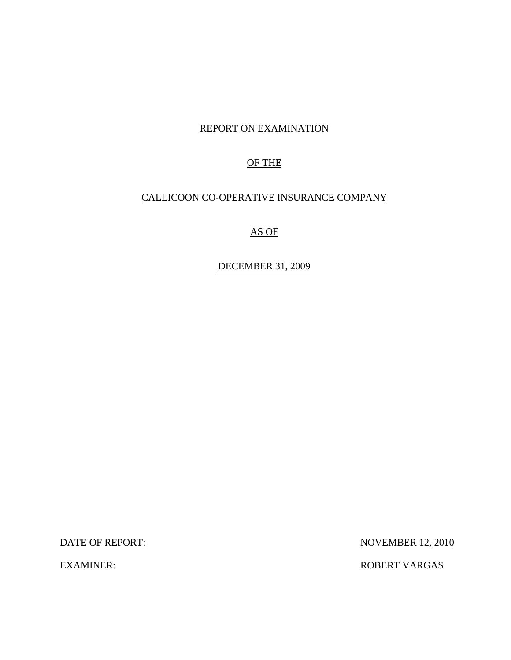## REPORT ON EXAMINATION

## OF THE

## CALLICOON CO-OPERATIVE INSURANCE COMPANY

AS OF

DECEMBER 31, 2009

DATE OF REPORT: NOVEMBER 12, 2010

EXAMINER: ROBERT VARGAS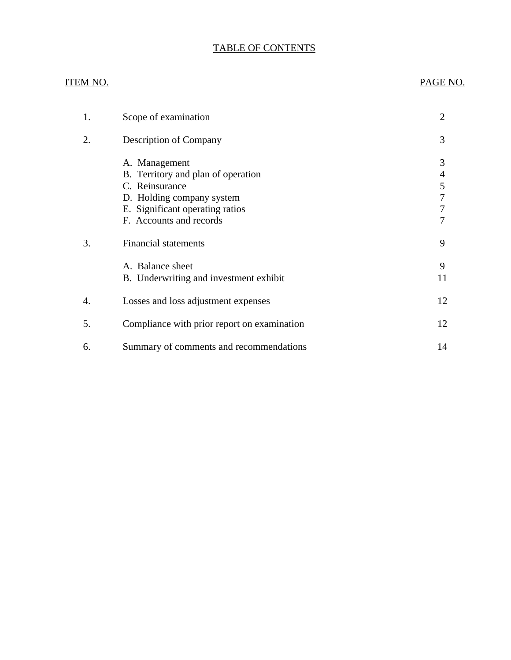## TABLE OF CONTENTS

## ITEM NO.

## PAGE NO.

| 1. | Scope of examination                                                                                                                                             | $\overline{2}$             |
|----|------------------------------------------------------------------------------------------------------------------------------------------------------------------|----------------------------|
| 2. | Description of Company                                                                                                                                           | 3                          |
|    | A. Management<br>B. Territory and plan of operation<br>C. Reinsurance<br>D. Holding company system<br>E. Significant operating ratios<br>F. Accounts and records | 3<br>4<br>5<br>7<br>7<br>7 |
| 3. | <b>Financial statements</b>                                                                                                                                      | 9                          |
|    | A. Balance sheet<br>B. Underwriting and investment exhibit                                                                                                       | 9<br>11                    |
| 4. | Losses and loss adjustment expenses                                                                                                                              | 12                         |
| 5. | Compliance with prior report on examination                                                                                                                      | 12                         |
| 6. | Summary of comments and recommendations                                                                                                                          | 14                         |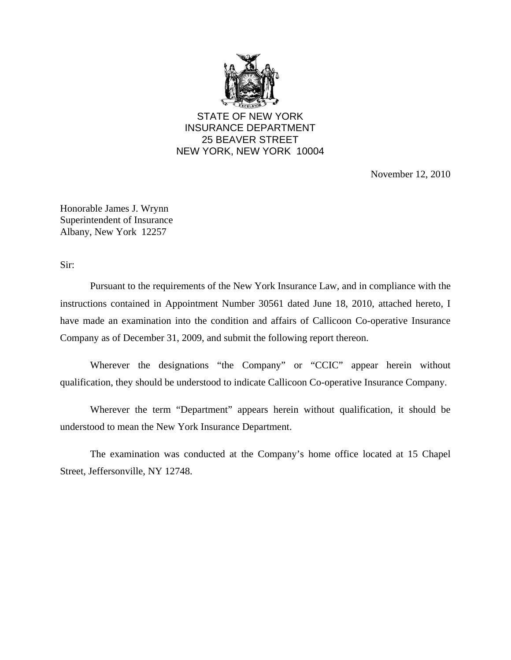

STATE OF NEW YORK INSURANCE DEPARTMENT 25 BEAVER STREET NEW YORK, NEW YORK 10004

November 12, 2010

Honorable James J. Wrynn Superintendent of Insurance Albany, New York 12257

Sir:

Pursuant to the requirements of the New York Insurance Law, and in compliance with the instructions contained in Appointment Number 30561 dated June 18, 2010, attached hereto, I have made an examination into the condition and affairs of Callicoon Co-operative Insurance Company as of December 31, 2009, and submit the following report thereon.

Wherever the designations "the Company" or "CCIC" appear herein without qualification, they should be understood to indicate Callicoon Co-operative Insurance Company.

Wherever the term "Department" appears herein without qualification, it should be understood to mean the New York Insurance Department.

The examination was conducted at the Company's home office located at 15 Chapel Street, Jeffersonville, NY 12748.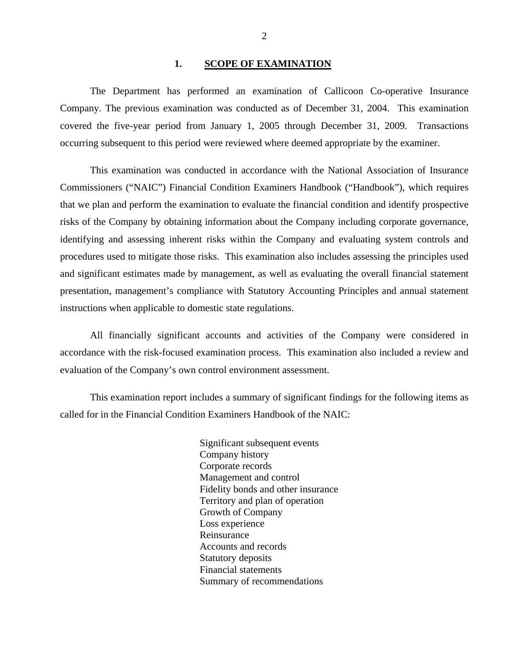#### 1. **SCOPE OF EXAMINATION**

<span id="page-3-0"></span>The Department has performed an examination of Callicoon Co-operative Insurance Company. The previous examination was conducted as of December 31, 2004. This examination covered the five-year period from January 1, 2005 through December 31, 2009. Transactions occurring subsequent to this period were reviewed where deemed appropriate by the examiner.

This examination was conducted in accordance with the National Association of Insurance Commissioners ("NAIC") Financial Condition Examiners Handbook ("Handbook"), which requires that we plan and perform the examination to evaluate the financial condition and identify prospective risks of the Company by obtaining information about the Company including corporate governance, identifying and assessing inherent risks within the Company and evaluating system controls and procedures used to mitigate those risks. This examination also includes assessing the principles used and significant estimates made by management, as well as evaluating the overall financial statement presentation, management's compliance with Statutory Accounting Principles and annual statement instructions when applicable to domestic state regulations.

All financially significant accounts and activities of the Company were considered in accordance with the risk-focused examination process. This examination also included a review and evaluation of the Company's own control environment assessment.

This examination report includes a summary of significant findings for the following items as called for in the Financial Condition Examiners Handbook of the NAIC:

> Significant subsequent events Company history Corporate records Management and control Fidelity bonds and other insurance Territory and plan of operation Growth of Company Loss experience Reinsurance Accounts and records Statutory deposits Financial statements Summary of recommendations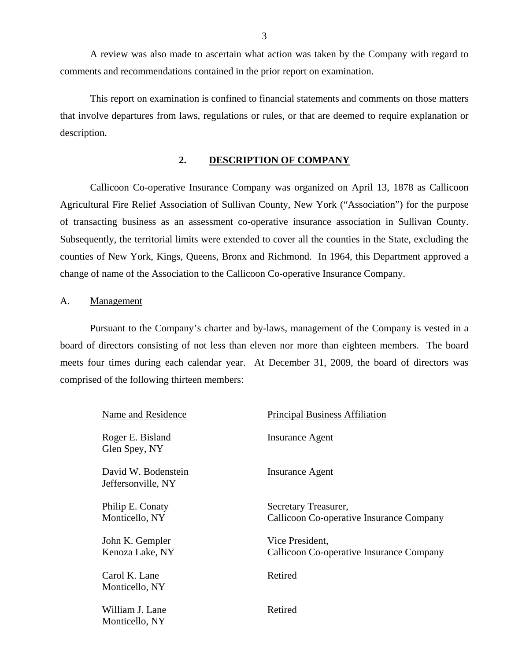A review was also made to ascertain what action was taken by the Company with regard to comments and recommendations contained in the prior report on examination.

This report on examination is confined to financial statements and comments on those matters that involve departures from laws, regulations or rules, or that are deemed to require explanation or description.

## **2. DESCRIPTION OF COMPANY**

Callicoon Co-operative Insurance Company was organized on April 13, 1878 as Callicoon Agricultural Fire Relief Association of Sullivan County, New York ("Association") for the purpose of transacting business as an assessment co-operative insurance association in Sullivan County. Subsequently, the territorial limits were extended to cover all the counties in the State, excluding the counties of New York, Kings, Queens, Bronx and Richmond. In 1964, this Department approved a change of name of the Association to the Callicoon Co-operative Insurance Company.

#### A. Management

Pursuant to the Company's charter and by-laws, management of the Company is vested in a board of directors consisting of not less than eleven nor more than eighteen members. The board meets four times during each calendar year. At December 31, 2009, the board of directors was comprised of the following thirteen members:

| Name and Residence                        | <b>Principal Business Affiliation</b>    |
|-------------------------------------------|------------------------------------------|
| Roger E. Bisland<br>Glen Spey, NY         | Insurance Agent                          |
| David W. Bodenstein<br>Jeffersonville, NY | Insurance Agent                          |
| Philip E. Conaty                          | Secretary Treasurer,                     |
| Monticello, NY                            | Callicoon Co-operative Insurance Company |
| John K. Gempler                           | Vice President,                          |
| Kenoza Lake, NY                           | Callicoon Co-operative Insurance Company |
| Carol K. Lane                             | Retired                                  |
| Monticello, NY                            |                                          |
| William J. Lane                           | Retired                                  |
| Monticello, NY                            |                                          |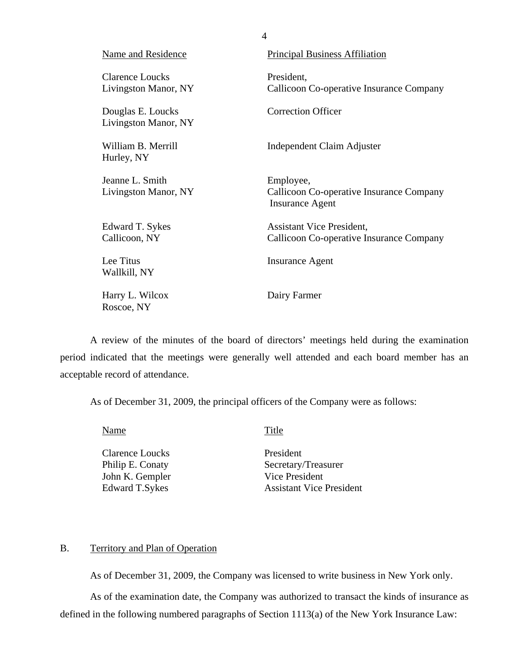<span id="page-5-0"></span>

| Name and Residence                             | <b>Principal Business Affiliation</b>                                           |
|------------------------------------------------|---------------------------------------------------------------------------------|
| <b>Clarence Loucks</b><br>Livingston Manor, NY | President,<br>Callicoon Co-operative Insurance Company                          |
| Douglas E. Loucks<br>Livingston Manor, NY      | <b>Correction Officer</b>                                                       |
| William B. Merrill<br>Hurley, NY               | Independent Claim Adjuster                                                      |
| Jeanne L. Smith<br>Livingston Manor, NY        | Employee,<br>Callicoon Co-operative Insurance Company<br><b>Insurance Agent</b> |
| Edward T. Sykes<br>Callicoon, NY               | <b>Assistant Vice President,</b><br>Callicoon Co-operative Insurance Company    |
| Lee Titus<br>Wallkill, NY                      | Insurance Agent                                                                 |
| Harry L. Wilcox<br>Roscoe, NY                  | Dairy Farmer                                                                    |

A review of the minutes of the board of directors' meetings held during the examination period indicated that the meetings were generally well attended and each board member has an acceptable record of attendance.

As of December 31, 2009, the principal officers of the Company were as follows:

Name Title

Clarence Loucks President John K. Gempler Vice President

Philip E. Conaty Secretary/Treasurer Edward T.Sykes Assistant Vice President

### B. Territory and Plan of Operation

As of December 31, 2009, the Company was licensed to write business in New York only.

As of the examination date, the Company was authorized to transact the kinds of insurance as defined in the following numbered paragraphs of Section 1113(a) of the New York Insurance Law:

4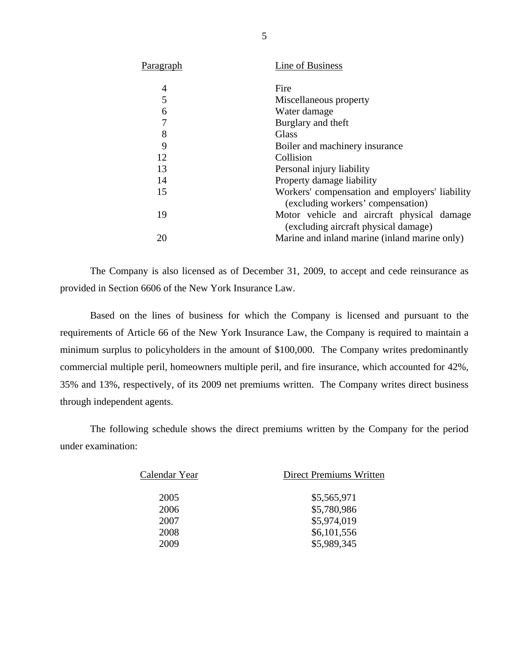<span id="page-6-0"></span>

| P <u>aragraph</u> | Line of Business                                                                    |
|-------------------|-------------------------------------------------------------------------------------|
| 4                 | Fire                                                                                |
| 5                 | Miscellaneous property                                                              |
| 6                 | Water damage                                                                        |
| 7                 | Burglary and theft                                                                  |
| 8                 | Glass                                                                               |
| 9                 | Boiler and machinery insurance                                                      |
| 12                | Collision                                                                           |
| 13                | Personal injury liability                                                           |
| 14                | Property damage liability                                                           |
| 15                | Workers' compensation and employers' liability<br>(excluding workers' compensation) |
| 19                | Motor vehicle and aircraft physical damage<br>(excluding aircraft physical damage)  |
| 20                | Marine and inland marine (inland marine only)                                       |
|                   |                                                                                     |

The Company is also licensed as of December 31, 2009, to accept and cede reinsurance as provided in Section 6606 of the New York Insurance Law.

Based on the lines of business for which the Company is licensed and pursuant to the requirements of Article 66 of the New York Insurance Law, the Company is required to maintain a minimum surplus to policyholders in the amount of \$100,000. The Company writes predominantly commercial multiple peril, homeowners multiple peril, and fire insurance, which accounted for 42%, 35% and 13%, respectively, of its 2009 net premiums written. The Company writes direct business through independent agents.

The following schedule shows the direct premiums written by the Company for the period under examination:

| Calendar Year | Direct Premiums Written |
|---------------|-------------------------|
| 2005          | \$5,565,971             |
| 2006          | \$5,780,986             |
| 2007          | \$5,974,019             |
| 2008          | \$6,101,556             |
| 2009          | \$5,989,345             |
|               |                         |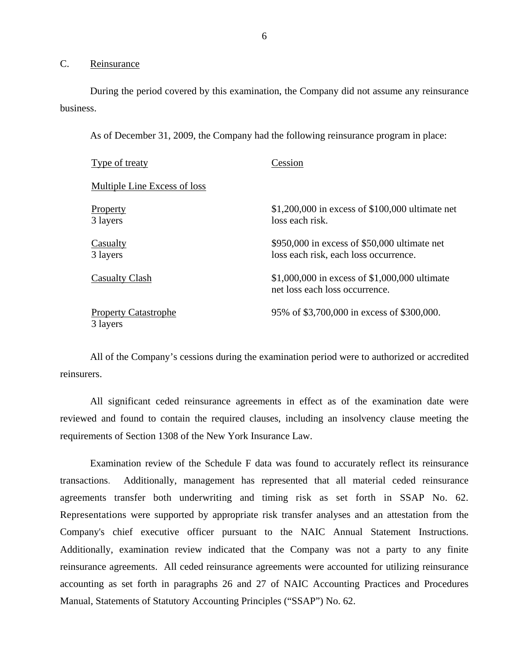## C. Reinsurance

During the period covered by this examination, the Company did not assume any reinsurance business.

As of December 31, 2009, the Company had the following reinsurance program in place:

| <b>Type of treaty</b>                   | Cession                                                                                |
|-----------------------------------------|----------------------------------------------------------------------------------------|
| Multiple Line Excess of loss            |                                                                                        |
| Property<br>3 layers                    | $$1,200,000$ in excess of $$100,000$ ultimate net<br>loss each risk.                   |
| Casualty<br>3 layers                    | $$950,000$ in excess of \$50,000 ultimate net<br>loss each risk, each loss occurrence. |
| <b>Casualty Clash</b>                   | \$1,000,000 in excess of \$1,000,000 ultimate<br>net loss each loss occurrence.        |
| <b>Property Catastrophe</b><br>3 layers | 95% of \$3,700,000 in excess of \$300,000.                                             |

All of the Company's cessions during the examination period were to authorized or accredited reinsurers.

All significant ceded reinsurance agreements in effect as of the examination date were reviewed and found to contain the required clauses, including an insolvency clause meeting the requirements of Section 1308 of the New York Insurance Law.

Examination review of the Schedule F data was found to accurately reflect its reinsurance transactions. Additionally, management has represented that all material ceded reinsurance agreements transfer both underwriting and timing risk as set forth in SSAP No. 62. Representations were supported by appropriate risk transfer analyses and an attestation from the Company's chief executive officer pursuant to the NAIC Annual Statement Instructions. Additionally, examination review indicated that the Company was not a party to any finite reinsurance agreements. All ceded reinsurance agreements were accounted for utilizing reinsurance accounting as set forth in paragraphs 26 and 27 of NAIC Accounting Practices and Procedures Manual, Statements of Statutory Accounting Principles ("SSAP") No. 62.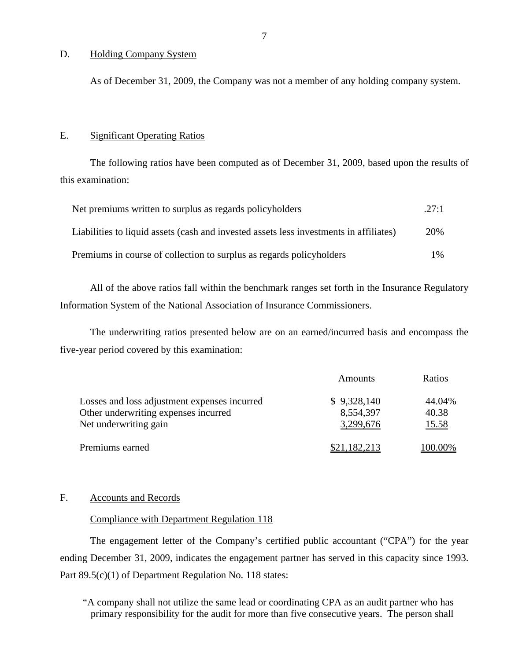#### D. Holding Company System

As of December 31, 2009, the Company was not a member of any holding company system.

## E. Significant Operating Ratios

The following ratios have been computed as of December 31, 2009, based upon the results of this examination:

| Net premiums written to surplus as regards policyholders                               | .27:1 |
|----------------------------------------------------------------------------------------|-------|
| Liabilities to liquid assets (cash and invested assets less investments in affiliates) | 20%   |
| Premiums in course of collection to surplus as regards policyholders                   | $1\%$ |

All of the above ratios fall within the benchmark ranges set forth in the Insurance Regulatory Information System of the National Association of Insurance Commissioners.

The underwriting ratios presented below are on an earned/incurred basis and encompass the five-year period covered by this examination:

|                                              | Amounts      | Ratios  |
|----------------------------------------------|--------------|---------|
| Losses and loss adjustment expenses incurred | \$9,328,140  | 44.04%  |
| Other underwriting expenses incurred         | 8,554,397    | 40.38   |
| Net underwriting gain                        | 3,299,676    | 15.58   |
| Premiums earned                              | \$21,182,213 | 100.00% |

## F. Accounts and Records

#### Compliance with Department Regulation 118

The engagement letter of the Company's certified public accountant ("CPA") for the year ending December 31, 2009, indicates the engagement partner has served in this capacity since 1993. Part 89.5(c)(1) of Department Regulation No. 118 states:

"A company shall not utilize the same lead or coordinating CPA as an audit partner who has primary responsibility for the audit for more than five consecutive years. The person shall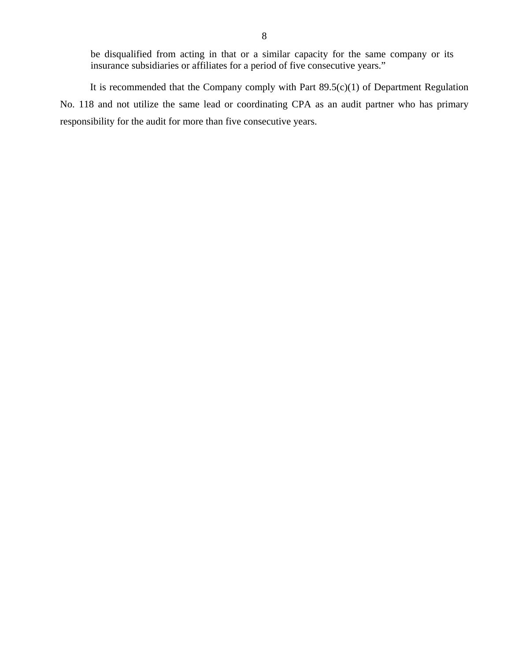be disqualified from acting in that or a similar capacity for the same company or its insurance subsidiaries or affiliates for a period of five consecutive years."

It is recommended that the Company comply with Part  $89.5(c)(1)$  of Department Regulation No. 118 and not utilize the same lead or coordinating CPA as an audit partner who has primary responsibility for the audit for more than five consecutive years.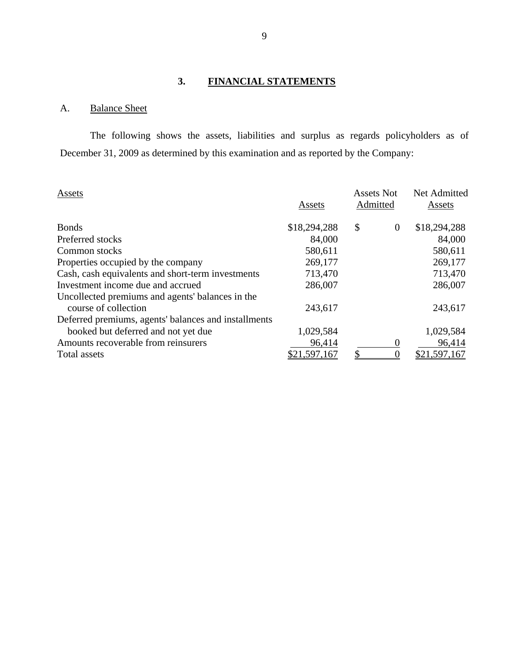## **3. FINANCIAL STATEMENTS**

## <span id="page-10-0"></span>A. Balance Sheet

The following shows the assets, liabilities and surplus as regards policyholders as of December 31, 2009 as determined by this examination and as reported by the Company:

| Assets                                               | Assets       | <b>Assets Not</b><br>Admitted |          | Net Admitted<br>Assets |
|------------------------------------------------------|--------------|-------------------------------|----------|------------------------|
| <b>Bonds</b>                                         | \$18,294,288 | $\boldsymbol{\mathsf{S}}$     | $\theta$ | \$18,294,288           |
| Preferred stocks                                     | 84,000       |                               |          | 84,000                 |
| Common stocks                                        | 580,611      |                               |          | 580,611                |
| Properties occupied by the company                   | 269,177      |                               |          | 269,177                |
| Cash, cash equivalents and short-term investments    | 713,470      |                               |          | 713,470                |
| Investment income due and accrued                    | 286,007      |                               |          | 286,007                |
| Uncollected premiums and agents' balances in the     |              |                               |          |                        |
| course of collection                                 | 243,617      |                               |          | 243,617                |
| Deferred premiums, agents' balances and installments |              |                               |          |                        |
| booked but deferred and not yet due                  | 1,029,584    |                               |          | 1,029,584              |
| Amounts recoverable from reinsurers                  | 96,414       |                               |          | 96,414                 |
| Total assets                                         | \$21,597,167 |                               |          | \$21,597,167           |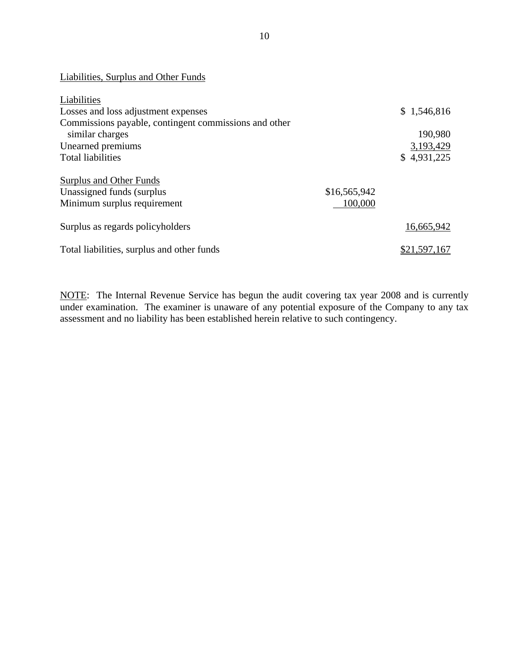| Liabilities, Surplus and Other Funds                  |              |              |
|-------------------------------------------------------|--------------|--------------|
| Liabilities                                           |              |              |
| Losses and loss adjustment expenses                   |              | \$1,546,816  |
| Commissions payable, contingent commissions and other |              |              |
| similar charges                                       |              | 190,980      |
| Unearned premiums                                     |              | 3,193,429    |
| <b>Total liabilities</b>                              |              | \$4,931,225  |
| <b>Surplus and Other Funds</b>                        |              |              |
| Unassigned funds (surplus)                            | \$16,565,942 |              |
| Minimum surplus requirement                           | 100,000      |              |
| Surplus as regards policyholders                      |              | 16,665,942   |
| Total liabilities, surplus and other funds            |              | \$21,597,167 |

NOTE: The Internal Revenue Service has begun the audit covering tax year 2008 and is currently under examination. The examiner is unaware of any potential exposure of the Company to any tax assessment and no liability has been established herein relative to such contingency.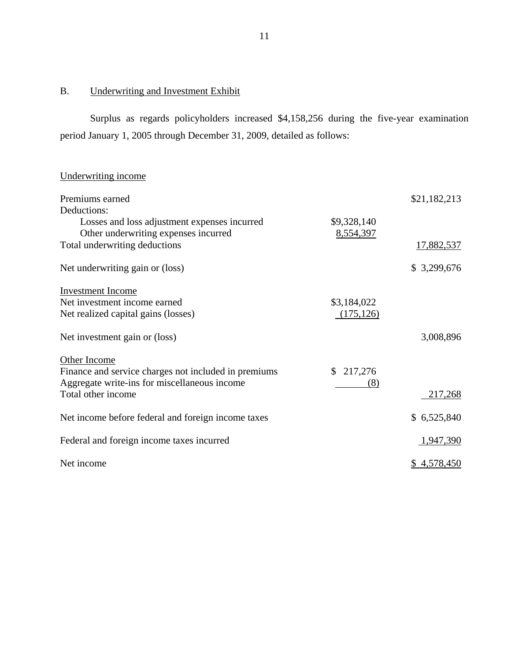## B. Underwriting and Investment Exhibit

Surplus as regards policyholders increased \$4,158,256 during the five-year examination period January 1, 2005 through December 31, 2009, detailed as follows:

| Underwriting income                                  |             |              |
|------------------------------------------------------|-------------|--------------|
| Premiums earned                                      |             | \$21,182,213 |
| Deductions:                                          |             |              |
| Losses and loss adjustment expenses incurred         | \$9,328,140 |              |
| Other underwriting expenses incurred                 | 8,554,397   |              |
| Total underwriting deductions                        |             | 17,882,537   |
| Net underwriting gain or (loss)                      |             | \$3,299,676  |
| <b>Investment Income</b>                             |             |              |
| Net investment income earned                         | \$3,184,022 |              |
| Net realized capital gains (losses)                  | (175, 126)  |              |
|                                                      |             |              |
| Net investment gain or (loss)                        |             | 3,008,896    |
| Other Income                                         |             |              |
| Finance and service charges not included in premiums | \$217,276   |              |
| Aggregate write-ins for miscellaneous income         | (8)         |              |
| Total other income                                   |             | 217,268      |
| Net income before federal and foreign income taxes   |             | \$6,525,840  |
|                                                      |             |              |
| Federal and foreign income taxes incurred            |             | 1,947,390    |
|                                                      |             |              |
| Net income                                           |             | \$4,578,450  |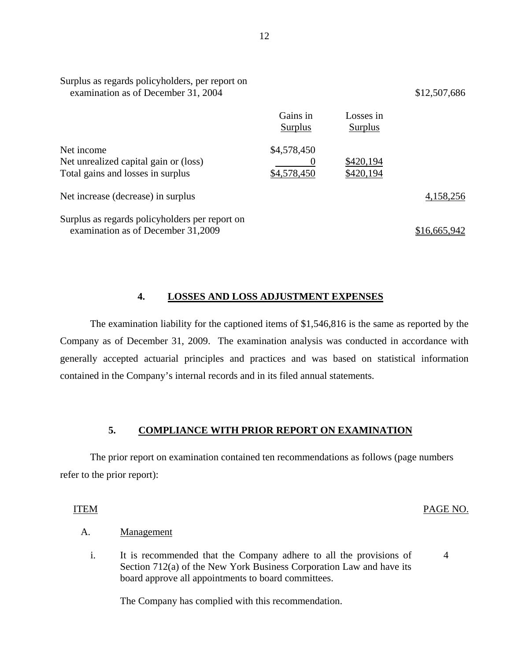| Surplus as regards policyholders, per report on<br>examination as of December 31, 2004   |                            |                        | \$12,507,686 |
|------------------------------------------------------------------------------------------|----------------------------|------------------------|--------------|
|                                                                                          | Gains in<br>Surplus        | Losses in<br>Surplus   |              |
| Net income<br>Net unrealized capital gain or (loss)<br>Total gains and losses in surplus | \$4,578,450<br>\$4,578,450 | \$420,194<br>\$420,194 |              |
| Net increase (decrease) in surplus                                                       |                            |                        | 4,158,256    |
| Surplus as regards policyholders per report on<br>examination as of December 31,2009     |                            |                        | \$16.665.9   |

## **4. LOSSES AND LOSS ADJUSTMENT EXPENSES**

The examination liability for the captioned items of \$1,546,816 is the same as reported by the Company as of December 31, 2009. The examination analysis was conducted in accordance with generally accepted actuarial principles and practices and was based on statistical information contained in the Company's internal records and in its filed annual statements.

## **5. COMPLIANCE WITH PRIOR REPORT ON EXAMINATION**

The prior report on examination contained ten recommendations as follows (page numbers refer to the prior report):

ITEM PAGE NO.

4

#### Management

A. <u>Management</u><br>i. It is recommended that the Company adhere to all the provisions of Section 712(a) of the New York Business Corporation Law and have its board approve all appointments to board committees.

The Company has complied with this recommendation.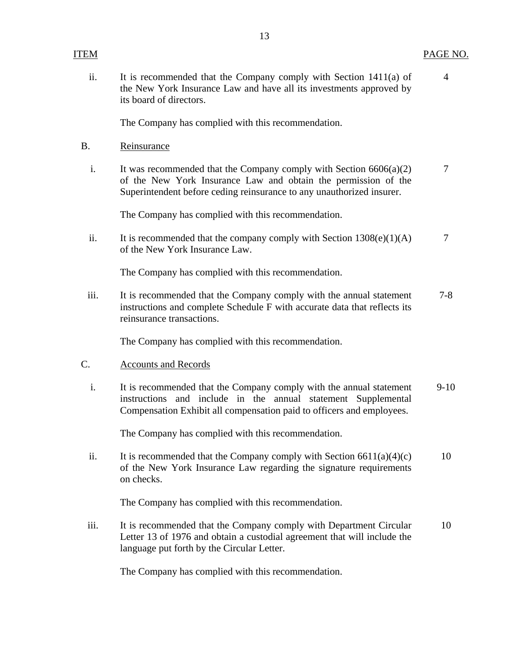The Company has complied with this recommendation.

Reinsurance

its board of directors.

B. Reinsurance<br>i. It was recommended that the Company comply with Section 6606(a)(2) 7 of the New York Insurance Law and obtain the permission of the Superintendent before ceding reinsurance to any unauthorized insurer.

The Company has complied with this recommendation.

ii. It is recommended that the company comply with Section  $1308(e)(1)(A)$  7 of the New York Insurance Law.

The Company has complied with this recommendation.

iii. It is recommended that the Company comply with the annual statement 7-8 instructions and complete Schedule F with accurate data that reflects its reinsurance transactions.

The Company has complied with this recommendation.

## Accounts and Records

C. Accounts and Records<br>i. It is recommended that the Company comply with the annual statement 9-10 instructions and include in the annual statement Supplemental Compensation Exhibit all compensation paid to officers and employees.

The Company has complied with this recommendation.

ii. It is recommended that the Company comply with Section  $6611(a)(4)(c)$  10 of the New York Insurance Law regarding the signature requirements on checks.

The Company has complied with this recommendation.

iii. It is recommended that the Company comply with Department Circular 10 Letter 13 of 1976 and obtain a custodial agreement that will include the language put forth by the Circular Letter.

The Company has complied with this recommendation.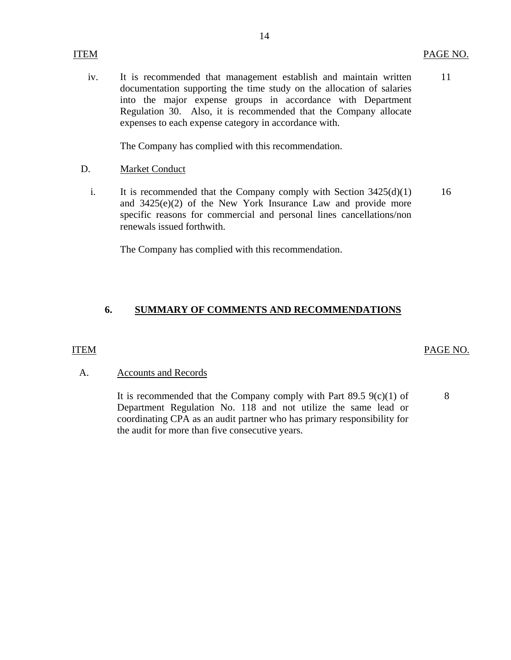iv. It is recommended that management establish and maintain written documentation supporting the time study on the allocation of salaries into the major expense groups in accordance with Department Regulation 30. Also, it is recommended that the Company allocate expenses to each expense category in accordance with. 11

The Company has complied with this recommendation.

- **Market Conduct** D.
	- i. It is recommended that the Company comply with Section  $3425(d)(1)$ and 3425(e)(2) of the New York Insurance Law and provide more specific reasons for commercial and personal lines cancellations/non renewals issued forthwith. 16

The Company has complied with this recommendation.

## **6. SUMMARY OF COMMENTS AND RECOMMENDATIONS**

### **ITEM**

### PAGE NO.

## **Accounts and Records**

A. Accounts and Records<br>It is recommended that the Company comply with Part 89.5 9(c)(1) of Department Regulation No. 118 and not utilize the same lead or coordinating CPA as an audit partner who has primary responsibility for the audit for more than five consecutive years.

8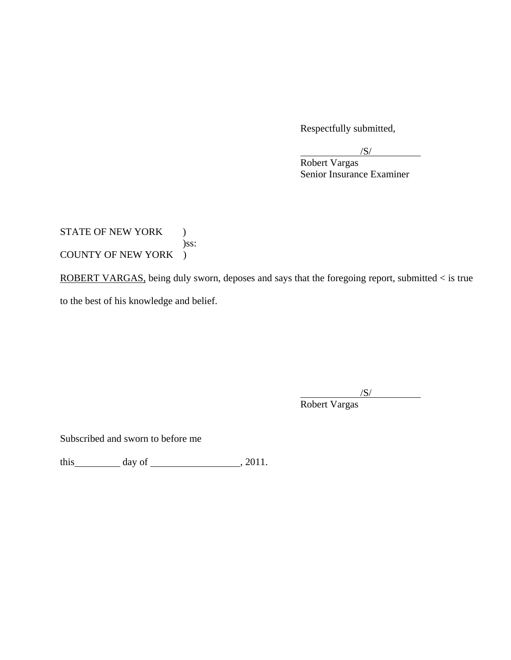Respectfully submitted,

 $\overline{\mathcal{S}}$ /

 Robert Vargas Senior Insurance Examiner

STATE OF NEW YORK ) )ss: COUNTY OF NEW YORK )

ROBERT VARGAS, being duly sworn, deposes and says that the foregoing report, submitted < is true to the best of his knowledge and belief.

 $\overline{a}$  $\sqrt{S}$ 

Robert Vargas

Subscribed and sworn to before me

this day of  $\qquad \qquad$  , 2011.